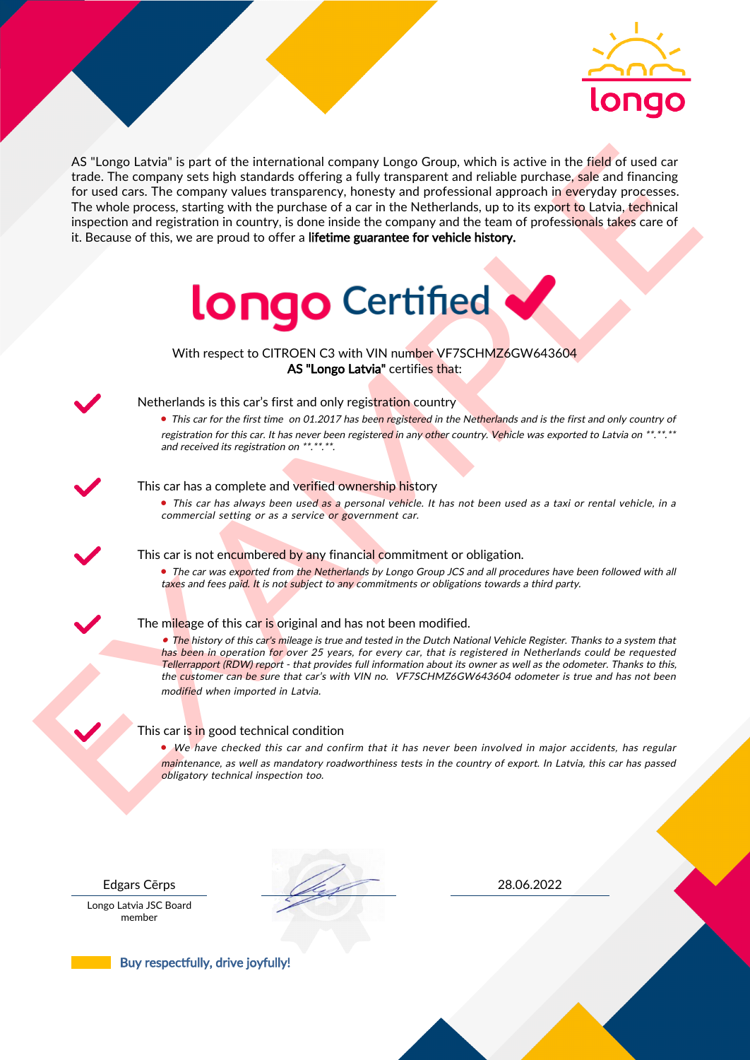

As the next of the intermediate computer is a general energy of the signal energy of the signal energy of the signal energy of the signal energy of the signal energy of the signal energy of the signal energy of the signal AS "Longo Latvia" is part of the international company Longo Group, which is active in the field of used car trade. The company sets high standards offering a fully transparent and reliable purchase, sale and financing for used cars. The company values transparency, honesty and professional approach in everyday processes. The whole process, starting with the purchase of a car in the Netherlands, up to its export to Latvia, technical inspection and registration in country, is done inside the company and the team of professionals takes care of it. Because of this, we are proud to offer a lifetime guarantee for vehicle history.



With respect to CITROEN C3 with VIN number VF7SCHMZ6GW643604 AS "Longo Latvia" certifies that:



# Netherlands is this car's first and only registration country

• This car for the first time on 01.2017 has been registered in the Netherlands and is the first and only country of registration for this car. It has never been registered in any other country. Vehicle was exported to Latvia on \*\*.\*\*.\*\* and received its registration on \*\*.\*\*.\*\*.

### This car has a complete and verified ownership history

• This car has always been used as a personal vehicle. It has not been used as a taxi or rental vehicle, in a commercial setting or as a service or government car.

This car is not encumbered by any financial commitment or obligation.

• The car was exported from the Netherlands by Longo Group JCS and all procedures have been followed with all taxes and fees paid. It is not subject to any commitments or obligations towards a third party.

### The mileage of this car is original and has not been modified.

• The history of this car's mileage is true and tested in the Dutch National Vehicle Register. Thanks to a system that has been in operation for over 25 years, for every car, that is registered in Netherlands could be requested Tellerrapport (RDW) report - that provides full information about its owner as well as the odometer. Thanks to this, the customer can be sure that car's with VIN no. VF7SCHMZ6GW643604 odometer is true and has not been modified when imported in Latvia.

### This car is in good technical condition

• We have checked this car and confirm that it has never been involved in major accidents, has regular maintenance, as well as mandatory roadworthiness tests in the country of export. In Latvia, this car has passed obligatory technical inspection too.

Longo Latvia JSC Board member

Edgars Cērps 28.06.2022

Buy respectfully, drive joyfully!